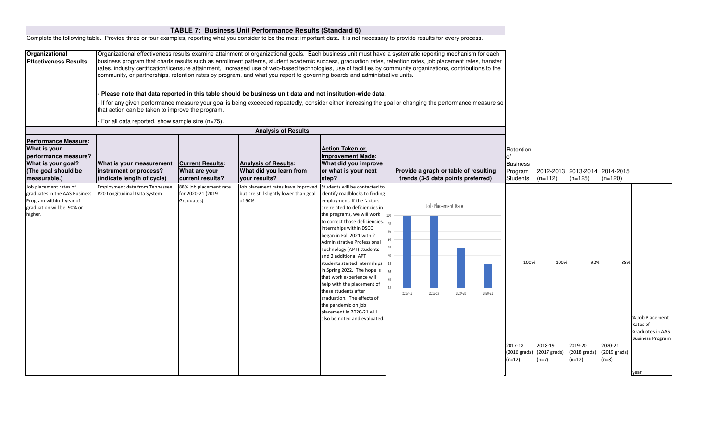|                                                                                                                                  |                                                                                                                                                                                                                                                                                                                                                                                                                                                                                                                                                                                                                                                                                                                                                                                                                                                                                                                                                                                                      |                                                              | TABLE 7: Business Unit Performance Results (Standard 6)                                               |                                                                                                                                                                                                                                                                                                                                                                                                                                                                                                                                                                                                                 |                                                                                                                                                                                    |                                                                                                                                                                |
|----------------------------------------------------------------------------------------------------------------------------------|------------------------------------------------------------------------------------------------------------------------------------------------------------------------------------------------------------------------------------------------------------------------------------------------------------------------------------------------------------------------------------------------------------------------------------------------------------------------------------------------------------------------------------------------------------------------------------------------------------------------------------------------------------------------------------------------------------------------------------------------------------------------------------------------------------------------------------------------------------------------------------------------------------------------------------------------------------------------------------------------------|--------------------------------------------------------------|-------------------------------------------------------------------------------------------------------|-----------------------------------------------------------------------------------------------------------------------------------------------------------------------------------------------------------------------------------------------------------------------------------------------------------------------------------------------------------------------------------------------------------------------------------------------------------------------------------------------------------------------------------------------------------------------------------------------------------------|------------------------------------------------------------------------------------------------------------------------------------------------------------------------------------|----------------------------------------------------------------------------------------------------------------------------------------------------------------|
|                                                                                                                                  |                                                                                                                                                                                                                                                                                                                                                                                                                                                                                                                                                                                                                                                                                                                                                                                                                                                                                                                                                                                                      |                                                              |                                                                                                       |                                                                                                                                                                                                                                                                                                                                                                                                                                                                                                                                                                                                                 | Complete the following table. Provide three or four examples, reporting what you consider to be the most important data. It is not necessary to provide results for every process. |                                                                                                                                                                |
| Organizational<br><b>Effectiveness Results</b>                                                                                   | Organizational effectiveness results examine attainment of organizational goals. Each business unit must have a systematic reporting mechanism for each<br>business program that charts results such as enrollment patterns, student academic success, graduation rates, retention rates, job placement rates, transfer<br>rates, industry certification/licensure attainment, increased use of web-based technologies, use of facilities by community organizations, contributions to the<br>community, or partnerships, retention rates by program, and what you report to governing boards and administrative units.<br>Please note that data reported in this table should be business unit data and not institution-wide data.<br>If for any given performance measure your goal is being exceeded repeatedly, consider either increasing the goal or changing the performance measure so<br>hat action can be taken to improve the program.<br>For all data reported, show sample size (n=75). |                                                              |                                                                                                       |                                                                                                                                                                                                                                                                                                                                                                                                                                                                                                                                                                                                                 |                                                                                                                                                                                    |                                                                                                                                                                |
|                                                                                                                                  |                                                                                                                                                                                                                                                                                                                                                                                                                                                                                                                                                                                                                                                                                                                                                                                                                                                                                                                                                                                                      |                                                              |                                                                                                       |                                                                                                                                                                                                                                                                                                                                                                                                                                                                                                                                                                                                                 |                                                                                                                                                                                    |                                                                                                                                                                |
| <b>Performance Measure:</b><br>What is your<br>performance measure?<br>What is your goal?<br>(The goal should be<br>measurable.) | What is your measurement<br>instrument or process?<br>(indicate length of cycle)                                                                                                                                                                                                                                                                                                                                                                                                                                                                                                                                                                                                                                                                                                                                                                                                                                                                                                                     | <b>Current Results:</b><br>What are your<br>current results? | <b>Analysis of Results</b><br><b>Analysis of Results:</b><br>What did you learn from<br>your results? | <b>Action Taken or</b><br><b>Improvement Made:</b><br>What did you improve<br>or what is your next<br>step?                                                                                                                                                                                                                                                                                                                                                                                                                                                                                                     | Provide a graph or table of resulting<br>trends (3-5 data points preferred)                                                                                                        | Retention<br><b>Business</b><br>2012-2013 2013-2014 2014-2015<br>Program<br><b>Students</b><br>$(n=112)$<br>$(n=125)$<br>$(n=120)$                             |
| Job placement rates of<br>graduates in the AAS Business<br>Program within 1 year of<br>graduation will be 90% or<br>higher.      | <b>Employment data from Tennessee</b><br>P20 Longitudinal Data System                                                                                                                                                                                                                                                                                                                                                                                                                                                                                                                                                                                                                                                                                                                                                                                                                                                                                                                                | 88% job placement rate<br>for 2020-21 (2019<br>Graduates)    | Job placement rates have improved<br>but are still slightly lower than goal<br>of 90%.                | Students will be contacted to<br>identify roadblocks to finding<br>employment. If the factors<br>are related to deficiencies in<br>the programs, we will work<br>to correct those deficiencies.<br>Internships within DSCC<br>began in Fall 2021 with 2<br>Administrative Professional<br>Technology (APT) students<br>and 2 additional APT<br>students started internships<br>in Spring 2022. The hope is<br>that work experience will<br>help with the placement of<br>these students after<br>graduation. The effects of<br>the pandemic on job<br>placement in 2020-21 will<br>also be noted and evaluated. | Job Placement Rate<br>100<br>90<br>88<br>R <sub>2</sub><br>2017-18<br>2018-19<br>2020-21<br>2019-20                                                                                | 100%<br>100%<br>92%<br>88%<br>% Job Placement<br>Rates of<br>Graduates in AAS<br><b>Business Program</b>                                                       |
|                                                                                                                                  |                                                                                                                                                                                                                                                                                                                                                                                                                                                                                                                                                                                                                                                                                                                                                                                                                                                                                                                                                                                                      |                                                              |                                                                                                       |                                                                                                                                                                                                                                                                                                                                                                                                                                                                                                                                                                                                                 |                                                                                                                                                                                    | 2018-19<br>2020-21<br>2017-18<br>2019-20<br>(2017 grads)<br>(2018 grads)<br>(2019 grads)<br>(2016 grads)<br>$(n=12)$<br>$(n=7)$<br>$(n=12)$<br>$(n=8)$<br>year |